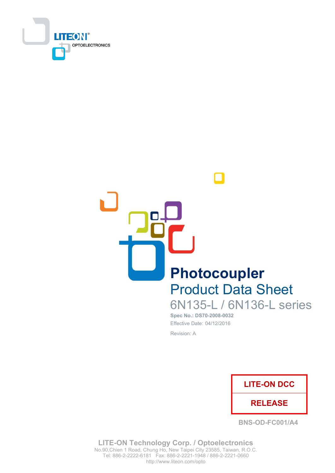



# **Product Data Sheet**

6N135-L / 6N136-L series Spec No.: DS70-2008-0032

Effective Date: 04/12/2016 Revision: A



**BNS-OD-FC001/A4** 

**LITE-ON Technology Corp. / Optoelectronics** No.90, Chien 1 Road, Chung Ho, New Taipei City 23585, Taiwan, R.O.C. Tel: 886-2-2222-6181 Fax: 886-2-2221-1948 / 886-2-2221-0660 http://www.liteon.com/opto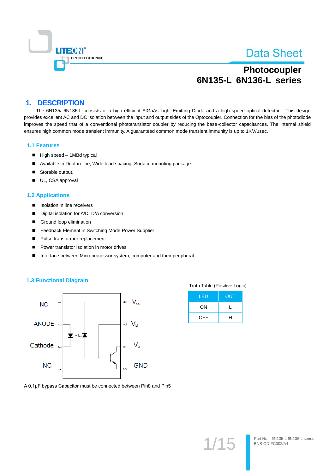

# Photocoupler 6N135-L 6N136-L series

## **1. DESCRIPTION**

The 6N135/6N136-L consists of a high efficient AlGaAs Light Emitting Diode and a high speed optical detector. This design provides excellent AC and DC isolation between the input and output sides of the Optocoupler. Connection for the bias of the photodiode improves the speed that of a conventional phototransistor coupler by reducing the base-collector capacitances. The internal shield ensures high common mode transient immunity. A guaranteed common mode transient immunity is up to 1KV/usec.

#### **1.1 Features**

- High speed 1MBd typical
- Available in Dual-in-line, Wide lead spacing, Surface mounting package.
- Storable output.
- UL, CSA approval

### **1.2 Applications**

- $\blacksquare$ Isolation in line receivers
- Digital isolation for A/D, D/A conversion  $\blacksquare$
- Ground loop elimination  $\blacksquare$
- Feedback Element in Switching Mode Power Supplier  $\blacksquare$
- Pulse transformer replacement  $\blacksquare$
- Power transistor isolation in motor drives  $\blacksquare$
- Interface between Microprocessor system, computer and their peripheral  $\blacksquare$

### **1.3 Functional Diagram**



|  | Truth Table (Positive Logic) |  |
|--|------------------------------|--|
|  |                              |  |

| LED        | OUT |
|------------|-----|
| ON         |     |
| <b>OFF</b> | н   |

A 0.1µF bypass Capacitor must be connected between Pin8 and Pin5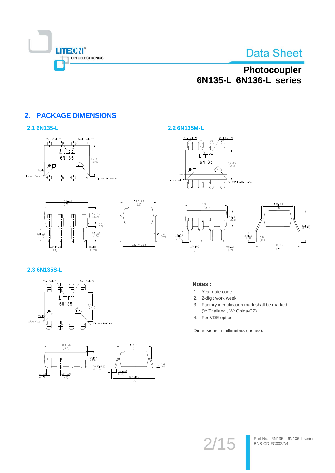

# Photocoupler 6N135-L 6N136-L series

## **2. PACKAGE DIMENSIONS**

### 2.1 6N135-L



 $\frac{9.68 \pm 0.5}{(.381)}$ 



### 2.2 6N135M-L





## 2.3 6N135S-L

 $\frac{2.54 \pm 0.25}{(.1)}$ 

 $2.8 \pm 0.5$ <br>(.110)





 $0.51Y$ 

 $3.3 \pm 0.5$ <br>(.130)

 $\frac{0.5 \pm 0.1}{(.019)}$ 

## Notes:

- 1. Year date code.
- 2. 2-digit work week.
- 3. Factory identification mark shall be marked (Y: Thailand, W: China-CZ)
- 4. For VDE option.

Dimensions in millimeters (inches).

 $2/15$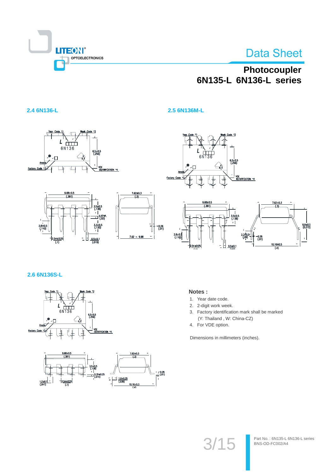

# Photocoupler 6N135-L 6N136-L series

### 2.4 6N136-L

 $\frac{L}{6N136}$  $6.5 \pm 0.5$ <br>(.256)  $\frac{1}{2}$  $\sqrt{1}$ Foctory Code VDE<br>IDE<u>NTIFICATION \*4</u>



 $\overline{a}$ 



2.5 6N136M-L



### 2.6 6N136S-L





### Notes:

- 1. Year date code.
- 2. 2-digit work week.
- Factory identification mark shall be marked 3. (Y: Thailand, W: China-CZ)
- 4. For VDE option.

Dimensions in millimeters (inches).

 $3/15$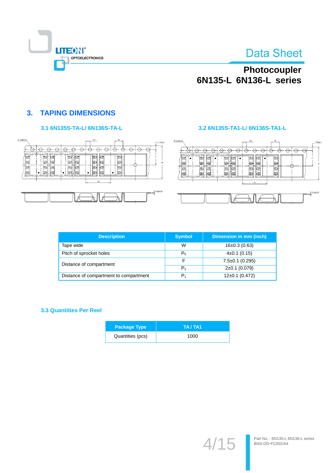

# Photocoupler<br>6N135-L 6N136-L series

## **3. TAPING DIMENSIONS**

## 3.1 6N135S-TA-L/ 6N136S-TA-L





| 55±0.05                                                                              |                                              | P2                                           | P <sub>0</sub>   | 1.75±0.1                              |
|--------------------------------------------------------------------------------------|----------------------------------------------|----------------------------------------------|------------------|---------------------------------------|
| =<br>匨<br>Œ<br>℡<br>₩<br>ι⊞<br>⊞<br>ЖШ<br>Œ<br>扭<br>Œ<br>$\pi$<br>⊞<br>Œ<br>स⊯<br>부부 | Ξ<br>Ð<br>Œ<br>₩.<br>КШ<br>æ<br>Æ<br>Œ<br>*1 | ⊞<br>₩Đ<br>⊞<br>⊞<br>₩Ð<br>Œ<br>⊞<br>⊞<br>P1 | 冊<br>⊞<br>Æ<br>冊 |                                       |
|                                                                                      |                                              | $\sqrt{2}$<br>$\frac{1}{2}$                  | --------         | $0.3{\pm}0.05$<br>$\sim$<br>--------- |

| <b>Description</b>                     | <b>Symbol</b>  | Dimension in mm (inch) |
|----------------------------------------|----------------|------------------------|
| Tape wide                              | W              | $16\pm0.3$ (0.63)      |
| Pitch of sprocket holes                | $P_0$          | $4\pm0.1$ (0.15)       |
| Distance of compartment                | F              | $7.5 \pm 0.1$ (0.295)  |
|                                        | P <sub>2</sub> | $2\pm0.1$ (0.079)      |
| Distance of compartment to compartment | Р.             | $12\pm0.1$ (0.472)     |

### **3.3 Quantities Per Reel**

| <b>Package Type</b> | TA / TA1 |
|---------------------|----------|
| Quantities (pcs)    | 1000     |

 $4/1$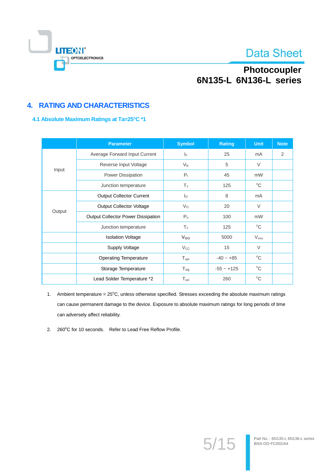

# Photocoupler 6N135-L 6N136-L series

## **4. RATING AND CHARACTERISTICS**

### 4.1 Absolute Maximum Ratings at Ta=25°C \*1

|        | <b>Parameter</b>                          | <b>Symbol</b>           | <b>Rating</b> | <b>Unit</b>      | <b>Note</b> |
|--------|-------------------------------------------|-------------------------|---------------|------------------|-------------|
|        | Average Forward Input Current             | $\mathsf{I}_\mathsf{F}$ | 25            | mA               | 2           |
|        | Reverse Input Voltage                     | $V_{R}$                 | 5             | $\vee$           |             |
| Input  | Power Dissipation                         | P <sub>1</sub>          | 45            | mW               |             |
|        | Junction temperature                      | T,                      | 125           | $^{\circ}C$      |             |
|        | <b>Output Collector Current</b>           | $I_{\Omega}$            | 8             | mA               |             |
| Output | <b>Output Collector Voltage</b>           | $V_{\rm O}$             | 20            | $\vee$           |             |
|        | <b>Output Collector Power Dissipation</b> | P <sub>o</sub>          | 100           | mW               |             |
|        | Junction temperature                      | TJ                      | 125           | $^{\circ}C$      |             |
|        | <b>Isolation Voltage</b>                  | V <sub>ISO</sub>        | 5000          | $V_{\text{rms}}$ |             |
|        | Supply Voltage                            | $V_{\rm CC}$            | 15            | $\vee$           |             |
|        | <b>Operating Temperature</b>              | $T_{\text{opr}}$        | $-40 - +85$   | $^{\circ}C$      |             |
|        | Storage Temperature                       | $T_{\text{stg}}$        | $-55 - +125$  | $^{\circ}C$      |             |
|        | Lead Solder Temperature *2                | $T_{sol}$               | 260           | $^{\circ}C$      |             |

- 1. Ambient temperature = 25°C, unless otherwise specified. Stresses exceeding the absolute maximum ratings can cause permanent damage to the device. Exposure to absolute maximum ratings for long periods of time can adversely affect reliability.
- 2. 260°C for 10 seconds. Refer to Lead Free Reflow Profile.

 $5/15$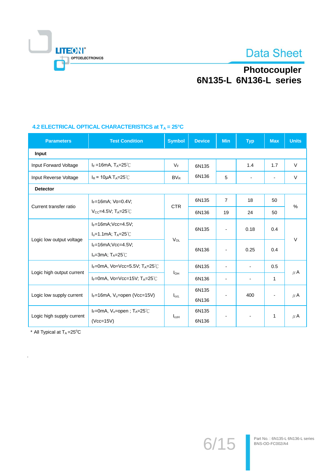

# Photocoupler<br>6N135-L 6N136-L series

## 4.2 ELECTRICAL OPTICAL CHARACTERISTICS at  $T_A = 25^\circ C$

| <b>Parameters</b>         | <b>Test Condition</b>                                  | <b>Symbol</b>    | <b>Device</b> | <b>Min</b>               | <b>Typ</b>                   | <b>Max</b>               | <b>Units</b> |
|---------------------------|--------------------------------------------------------|------------------|---------------|--------------------------|------------------------------|--------------------------|--------------|
| Input                     |                                                        |                  |               |                          |                              |                          |              |
| Input Forward Voltage     | $I_F = 16mA$ , T <sub>A</sub> =25°C                    | $V_F$            | 6N135         |                          | 1.4                          | 1.7                      | $\vee$       |
| Input Reverse Voltage     | $I_R$ = 10µA T <sub>A</sub> =25°C                      | $BV_R$           | 6N136         | 5                        | Ξ.                           | $\overline{\phantom{a}}$ | $\vee$       |
| <b>Detector</b>           |                                                        |                  |               |                          |                              |                          |              |
|                           | $I_F = 16mA$ ; Vo=0.4V;                                | 6N135            |               | $\overline{7}$           | 18                           | 50                       |              |
| Current transfer ratio    | $V_{CC} = 4.5V$ ; T <sub>A</sub> $= 25^{\circ}$ C      | <b>CTR</b>       | 6N136         | 19                       | 24                           | 50                       | $\%$         |
|                           | $I_F=16mA;Vcc=4.5V;$                                   |                  | 6N135         | $\overline{a}$           | 0.18                         | 0.4                      | $\vee$       |
|                           | $I_0 = 1.1$ mA; T <sub>A</sub> =25°C                   | $V_{OL}$         |               |                          |                              |                          |              |
| Logic low output voltage  | $I_F=16mA;Vcc=4.5V;$                                   |                  | 6N136         |                          | 0.25                         | 0.4                      |              |
|                           | $I_0 = 3mA$ ; $T_A = 25^\circ \text{C}$                |                  |               |                          |                              |                          |              |
|                           | $I_F=0$ mA, Vo=Vcc=5.5V; T <sub>A</sub> =25°C          |                  | 6N135         |                          | $\overline{\phantom{a}}$     | 0.5                      |              |
| Logic high output current | IF=0mA, Vo=Vcc=15V; TA=25°C                            | $I_{OH}$         | 6N136         | $\overline{\phantom{0}}$ | $\qquad \qquad \blacksquare$ | 1                        | $\mu$ A      |
| Logic low supply current  |                                                        |                  | 6N135         |                          |                              |                          |              |
|                           | $I_F=16$ mA, V <sub>o</sub> =open (Vcc=15V)            | $I_{\text{ccl}}$ | 6N136         | 400                      |                              | $\mu$ A                  |              |
|                           | $I_F$ =0mA, V <sub>o</sub> =open; T <sub>A</sub> =25°C |                  | 6N135         |                          |                              |                          |              |
| Logic high supply current | $(Vcc=15V)$                                            | $I_{\rm ccH}$    | 6N136         |                          | $\overline{\phantom{a}}$     | 1                        | $\mu$ A      |

\* All Typical at  $T_A = 25$ °C

J.

 $6/15$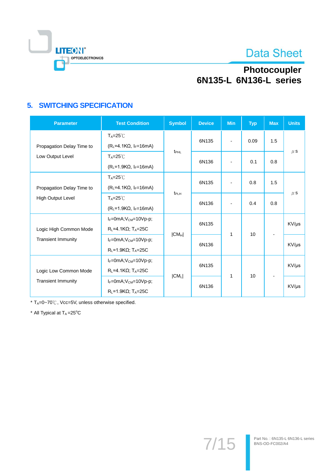

# Photocoupler<br>6N135-L 6N136-L series

## **5. SWITCHING SPECIFICATION**

| <b>Parameter</b>          | <b>Test Condition</b>                                                  | <b>Symbol</b>    | <b>Device</b> | <b>Min</b>               | <b>Typ</b> | <b>Max</b> | <b>Units</b> |
|---------------------------|------------------------------------------------------------------------|------------------|---------------|--------------------------|------------|------------|--------------|
| Propagation Delay Time to | $T_A = 25^\circ \text{C}$<br>$(RL=4.1K\Omega, IF=16mA)$                |                  | 6N135         | $\overline{\phantom{a}}$ | 0.09       | 1.5        |              |
| Low Output Level          | $T_A = 25^\circ C$<br>$(R_L=1.9K\Omega, I_F=16mA)$                     | t <sub>PHL</sub> | 6N136         |                          | 0.1        | 0.8        | $\mu$ S      |
| Propagation Delay Time to | $T_A = 25^\circ C$<br>$(RL=4.1K\Omega, IF=16mA)$                       |                  | 6N135         | $\overline{\phantom{a}}$ | 0.8        | 1.5        |              |
| <b>High Output Level</b>  | $T_A = 25^\circ C$<br>$(R_L=1.9K\Omega, I_F=16mA)$                     | $t_{\sf PLH}$    | 6N136         |                          | 0.4        | 0.8        | $\mu$ S      |
| Logic High Common Mode    | $I_F=0mA;V_{CM}=10Vp-p;$<br>$R_L = 4.1K\Omega$ ; T <sub>A</sub> =25C   | $ CM_H $         | 6N135         | 1                        | 10         |            | KV/µs        |
| <b>Transient Immunity</b> | $I_F=0mA;V_{CM}=10Vp-p;$<br>$R_L = 1.9K\Omega$ ; T <sub>A</sub> =25C   |                  | 6N136         |                          |            |            | KV/µs        |
| Logic Low Common Mode     | $I_F=0mA;V_{CM}=10Vp-p;$<br>$R_L = 4.1 K\Omega$ ; T <sub>A</sub> =25C  |                  | 6N135         |                          |            |            | KV/µs        |
| <b>Transient Immunity</b> | $I_F=0mA;V_{CM}=10Vp-p;$<br>$R_L$ =1.9K $\Omega$ ; T <sub>A</sub> =25C | $ CM_L $         | 6N136         | 1                        | 10         |            | KV/µs        |

\* TA=0~70°C, Vcc=5V, unless otherwise specified.

\* All Typical at TA=25°C

 $7/15$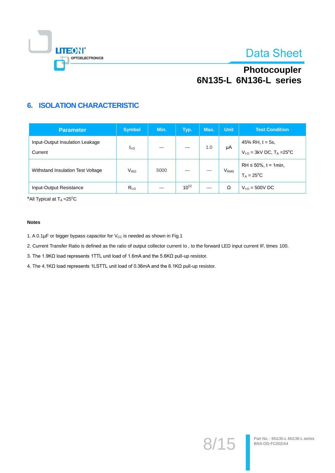

# Photocoupler 6N135-L 6N136-L series

## **6. ISOLATION CHARACTERISTIC**

| <b>Parameter</b>                           | <b>Symbol</b>    | Min. | Typ.      | Max. | <b>Unit</b>             | <b>Test Condition</b>                                  |
|--------------------------------------------|------------------|------|-----------|------|-------------------------|--------------------------------------------------------|
| Input-Output Insulation Leakage<br>Current | lı-o             |      |           | 1.0  | μA                      | 45% RH, $t = 5s$ ,<br>$V_{1-O} = 3kV$ DC, $T_A = 25°C$ |
| Withstand Insulation Test Voltage          | V <sub>ISO</sub> | 5000 |           |      | <b>V</b> <sub>RMS</sub> | $RH \le 50\%$ , t = 1min,<br>$T_A = 25^{\circ}C$       |
| Input-Output Resistance                    | $R_{\text{LO}}$  |      | $10^{12}$ | _    | Ω                       | $V_{1-0} = 500V$ DC                                    |

\*All Typical at TA=25°C

#### **Notes**

1. A 0.1µF or bigger bypass capacitor for V<sub>cc</sub> is needed as shown in Fig.1

2. Current Transfer Ratio is defined as the ratio of output collector current lo, to the forward LED input current IF, times 100.

3. The 1.9K $\Omega$  load represents 1TTL unit load of 1.6mA and the 5.6K $\Omega$  pull-up resistor.

4. The 4.1KΩ load represents 1LSTTL unit load of 0.36mA and the 6.1KΩ pull-up resistor.

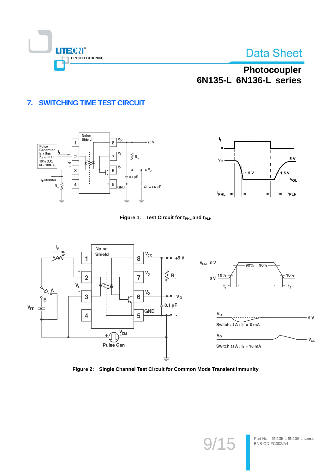

# Photocoupler 6N135-L 6N136-L series

## 7. SWITCHING TIME TEST CIRCUIT









Figure 2: Single Channel Test Circuit for Common Mode Transient Immunity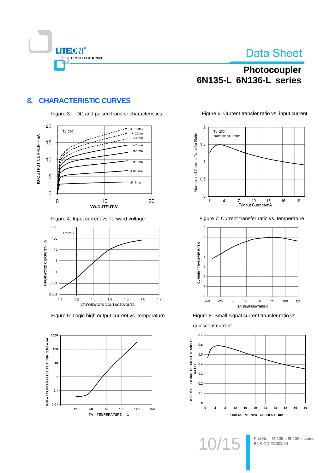

# Photocoupler 6N135-L 6N136-L series

## 8. CHARACTERISTIC CURVES



Figure 4: Input current vs. forward voltage



Figure 5: Logic high output current vs. temperature



Figure 6: Current transfer ratio vs. input current



Figure 7: Current transfer ratio vs. temperature



Figure 8: Small-signal current transfer ratio vs.



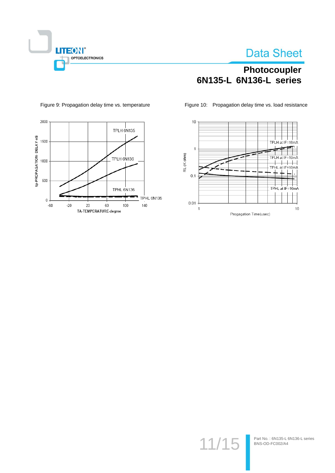

## Photocoupler 6N135-L 6N136-L series

Figure 10: Propagation delay time vs. load resistance



Figure 9: Propagation delay time vs. temperature



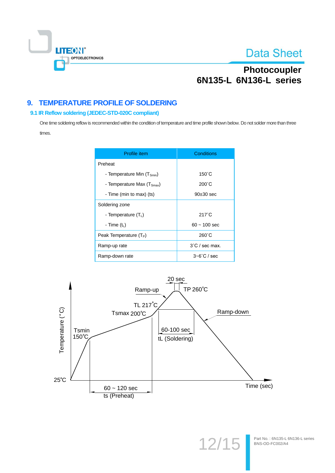

## Photocoupler 6N135-L 6N136-L series

## 9. TEMPERATURE PROFILE OF SOLDERING

### 9.1 IR Reflow soldering (JEDEC-STD-020C compliant)

One time soldering reflow is recommended within the condition of temperature and time profile shown below. Do not solder more than three times.

| Profile item                           | Conditions               |
|----------------------------------------|--------------------------|
| Preheat                                |                          |
| - Temperature Min (T <sub>Smin</sub> ) | $150^{\circ}$ C          |
| - Temperature Max $(T_{Smax})$         | $200^{\circ}$ C          |
| - Time (min to max) (ts)               | $90\pm30$ sec            |
| Soldering zone                         |                          |
| - Temperature $(T_1)$                  | $217^{\circ}$ C          |
| - Time $(tL)$                          | $60 - 100$ sec           |
| Peak Temperature (T <sub>P</sub> )     | $260^{\circ}$ C          |
| Ramp-up rate                           | $3^{\circ}$ C / sec max. |
| Ramp-down rate                         | $3 - 6^\circ$ C / sec    |



 $12'$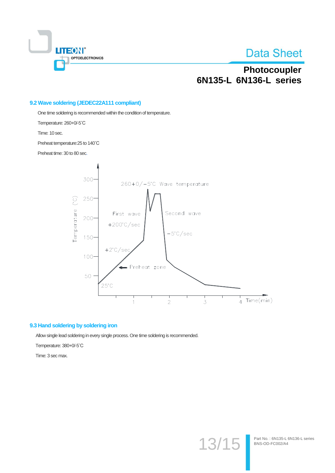

Part No.: 6N135-L 6N136-L series

BNS-OD-FC002/A4

## Photocoupler 6N135-L 6N136-L series

### 9.2 Wave soldering (JEDEC22A111 compliant)

One time soldering is recommended within the condition of temperature.

Temperature: 260+0/-5°C

Time: 10 sec.

Preheat temperature: 25 to 140°C

Preheat time: 30 to 80 sec.



13

### 9.3 Hand soldering by soldering iron

Allow single lead soldering in every single process. One time soldering is recommended.

Temperature: 380+0/-5°C

Time: 3 sec max.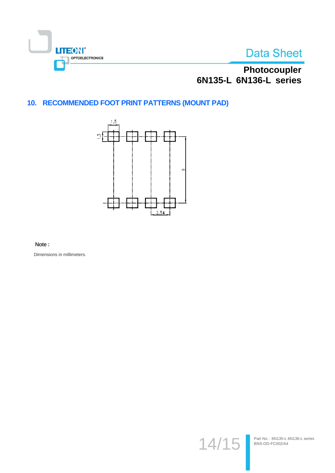



Photocoupler<br>6N135-L 6N136-L series

## 10. RECOMMENDED FOOT PRINT PATTERNS (MOUNT PAD)



### Note:

Dimensions in millimeters.